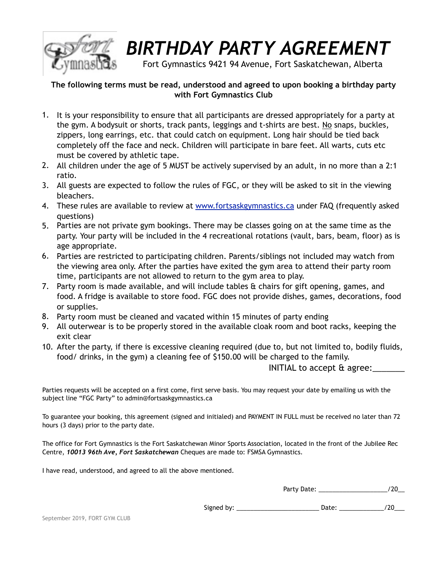

## *BIRTHDAY PARTY AGREEMENT*

Fort Gymnastics 9421 94 Avenue, Fort Saskatchewan, Alberta

## **The following terms must be read, understood and agreed to upon booking a birthday party with Fort Gymnastics Club**

- 1. It is your responsibility to ensure that all participants are dressed appropriately for a party at the gym. A bodysuit or shorts, track pants, leggings and t-shirts are best. No snaps, buckles, zippers, long earrings, etc. that could catch on equipment. Long hair should be tied back completely off the face and neck. Children will participate in bare feet. All warts, cuts etc must be covered by athletic tape.
- 2. All children under the age of 5 MUST be actively supervised by an adult, in no more than a 2:1 ratio.
- 3. All guests are expected to follow the rules of FGC, or they will be asked to sit in the viewing bleachers.
- 4. These rules are available to review at [www.fortsaskgymnastics.ca](http://www.fortsaskgymnastics.ca) under FAQ (frequently asked questions)
- 5. Parties are not private gym bookings. There may be classes going on at the same time as the party. Your party will be included in the 4 recreational rotations (vault, bars, beam, floor) as is age appropriate.
- 6. Parties are restricted to participating children. Parents/siblings not included may watch from the viewing area only. After the parties have exited the gym area to attend their party room time, participants are not allowed to return to the gym area to play.
- 7. Party room is made available, and will include tables  $\hat{a}$  chairs for gift opening, games, and food. A fridge is available to store food. FGC does not provide dishes, games, decorations, food or supplies.
- 8. Party room must be cleaned and vacated within 15 minutes of party ending
- 9. All outerwear is to be properly stored in the available cloak room and boot racks, keeping the exit clear
- 10. After the party, if there is excessive cleaning required (due to, but not limited to, bodily fluids, food/ drinks, in the gym) a cleaning fee of \$150.00 will be charged to the family.

INITIAL to accept & agree:\_\_\_\_\_\_\_

Parties requests will be accepted on a first come, first serve basis. You may request your date by emailing us with the subject line "FGC Party" to admin@fortsaskgymnastics.ca

To guarantee your booking, this agreement (signed and initialed) and PAYMENT IN FULL must be received no later than 72 hours (3 days) prior to the party date.

The office for Fort Gymnastics is the Fort Saskatchewan Minor Sports Association, located in the front of the Jubilee Rec Centre, *10013 96th Ave, Fort Saskatchewan* Cheques are made to: FSMSA Gymnastics.

I have read, understood, and agreed to all the above mentioned.

Party Date: \_\_\_\_\_\_\_\_\_\_\_\_\_\_\_\_\_\_\_\_/20\_\_

Signed by: \_\_\_\_\_\_\_\_\_\_\_\_\_\_\_\_\_\_\_\_\_\_\_\_ Date: \_\_\_\_\_\_\_\_\_\_\_\_\_/20\_\_\_

September 2019, FORT GYM CLUB